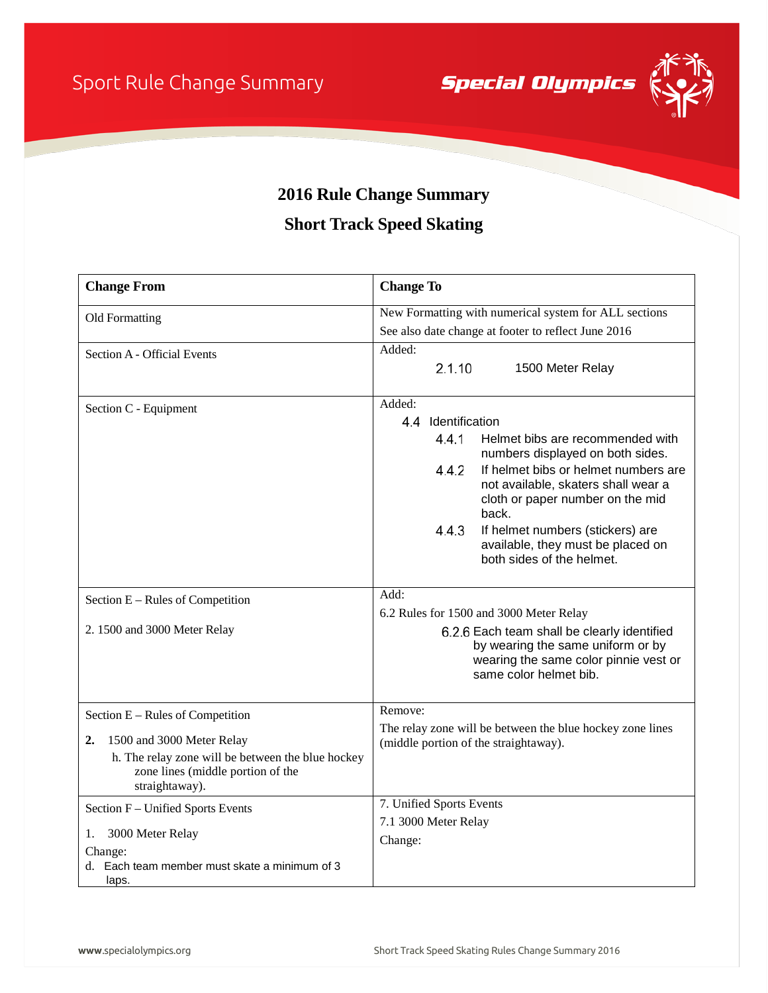Sport Rule Change Summary

**Special Olympics** 



## **2016 Rule Change Summary**

## **Short Track Speed Skating**

| <b>Change From</b>                                                                                       | <b>Change To</b>                                                                                                                                    |
|----------------------------------------------------------------------------------------------------------|-----------------------------------------------------------------------------------------------------------------------------------------------------|
| Old Formatting                                                                                           | New Formatting with numerical system for ALL sections                                                                                               |
|                                                                                                          | See also date change at footer to reflect June 2016                                                                                                 |
| Section A - Official Events                                                                              | Added:                                                                                                                                              |
|                                                                                                          | 2.1.10<br>1500 Meter Relay                                                                                                                          |
| Section C - Equipment                                                                                    | Added:                                                                                                                                              |
|                                                                                                          | 4.4 Identification                                                                                                                                  |
|                                                                                                          | 4.4.1<br>Helmet bibs are recommended with<br>numbers displayed on both sides.                                                                       |
|                                                                                                          | 4.4.2<br>If helmet bibs or helmet numbers are<br>not available, skaters shall wear a<br>cloth or paper number on the mid<br>back.                   |
|                                                                                                          | 4.4.3<br>If helmet numbers (stickers) are<br>available, they must be placed on<br>both sides of the helmet.                                         |
| Section E - Rules of Competition                                                                         | Add:                                                                                                                                                |
|                                                                                                          | 6.2 Rules for 1500 and 3000 Meter Relay                                                                                                             |
| 2. 1500 and 3000 Meter Relay                                                                             | 6.2.6 Each team shall be clearly identified<br>by wearing the same uniform or by<br>wearing the same color pinnie vest or<br>same color helmet bib. |
| Section E - Rules of Competition                                                                         | Remove:                                                                                                                                             |
| 1500 and 3000 Meter Relay<br>2.                                                                          | The relay zone will be between the blue hockey zone lines<br>(middle portion of the straightaway).                                                  |
| h. The relay zone will be between the blue hockey<br>zone lines (middle portion of the<br>straightaway). |                                                                                                                                                     |
| Section F - Unified Sports Events                                                                        | 7. Unified Sports Events                                                                                                                            |
| 3000 Meter Relay<br>1.                                                                                   | 7.1 3000 Meter Relay                                                                                                                                |
| Change:                                                                                                  | Change:                                                                                                                                             |
| d. Each team member must skate a minimum of 3<br>laps.                                                   |                                                                                                                                                     |